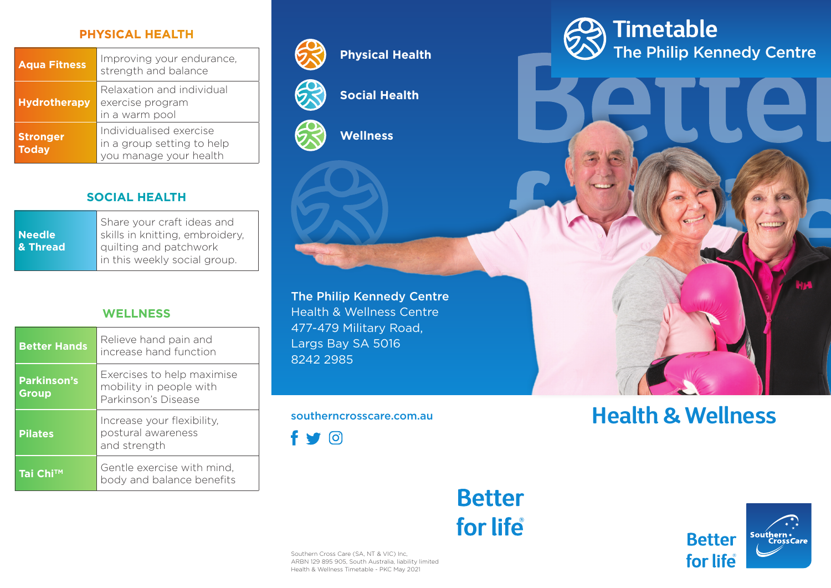## **PHYSICAL HEALTH**

| <b>Aqua Fitness</b>             | Improving your endurance,<br>strength and balance                               |
|---------------------------------|---------------------------------------------------------------------------------|
| <b>Hydrotherapy</b>             | Relaxation and individual<br>exercise program<br>in a warm pool                 |
| <b>Stronger</b><br><b>Today</b> | Individualised exercise<br>in a group setting to help<br>you manage your health |

### **SOCIAL HEALTH**

|               | Share your craft ideas and      |  |  |
|---------------|---------------------------------|--|--|
| <b>Needle</b> | skills in knitting, embroidery, |  |  |
| & Thread      | quilting and patchwork          |  |  |
|               | in this weekly social group.    |  |  |

### **WELLNESS**

| <b>Better Hands</b>                | Relieve hand pain and<br>increase hand function                              |  |
|------------------------------------|------------------------------------------------------------------------------|--|
| <b>Parkinson's</b><br><b>Group</b> | Exercises to help maximise<br>mobility in people with<br>Parkinson's Disease |  |
| <b>Pilates</b>                     | Increase your flexibility,<br>postural awareness<br>and strength             |  |
| Tai Chi™                           | Gentle exercise with mind,<br>body and balance benefits                      |  |



**Social Health**



The Philip Kennedy Centre Health & Wellness Centre 477-479 Military Road, Largs Bay SA 5016 8242 2985

southerncrosscare.com.au





# **Health & Wellness**

# **Better** for life<sup>®</sup>



Southern Cross Care (SA, NT & VIC) Inc, ARBN 129 895 905, South Australia, liability limited Health & Wellness Timetable - PKC May 2021